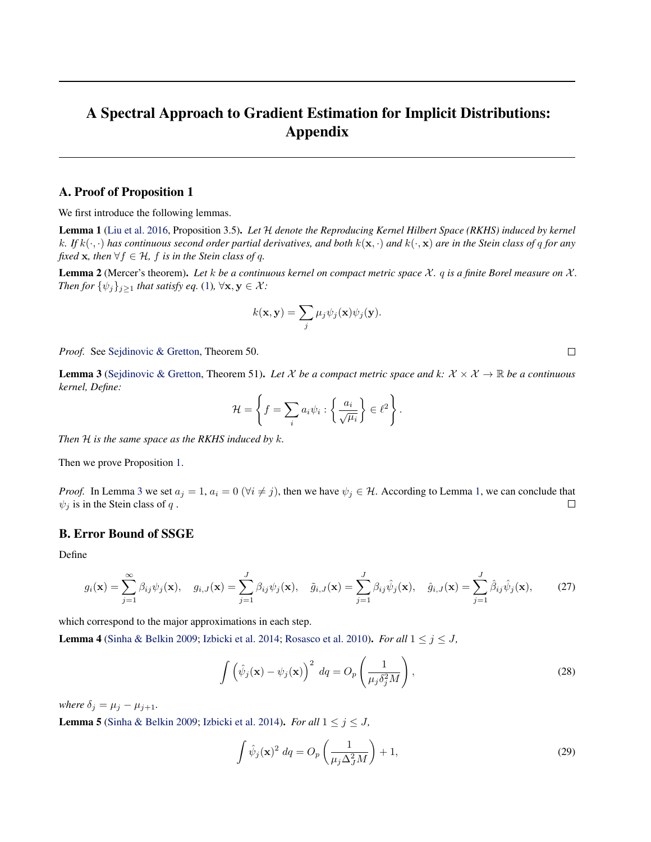# <span id="page-0-0"></span>A Spectral Approach to Gradient Estimation for Implicit Distributions: Appendix

## A. Proof of Proposition 1

We first introduce the following lemmas.

Lemma 1 [\(Liu et al.](#page--1-0) [2016,](#page--1-0) Proposition 3.5). *Let* H *denote the Reproducing Kernel Hilbert Space (RKHS) induced by kernel* k. If  $k(\cdot, \cdot)$  has continuous second order partial derivatives, and both  $k(\mathbf{x}, \cdot)$  and  $k(\cdot, \mathbf{x})$  are in the Stein class of q for any *fixed* **x***, then*  $\forall f \in \mathcal{H}$ *, f is in the Stein class of q.* 

**Lemma 2** (Mercer's theorem). Let  $k$  be a continuous kernel on compact metric space  $\chi$ .  $q$  is a finite Borel measure on  $\chi$ . *Then for*  $\{\psi_j\}_{j\geq 1}$  *that satisfy eq.* [\(1\)](#page--1-0),  $\forall x, y \in \mathcal{X}$ *:* 

$$
k(\mathbf{x}, \mathbf{y}) = \sum_{j} \mu_j \psi_j(\mathbf{x}) \psi_j(\mathbf{y}).
$$

*Proof.* See [Sejdinovic & Gretton,](#page--1-0) Theorem 50.

**Lemma 3** [\(Sejdinovic & Gretton,](#page--1-0) Theorem 51). Let X be a compact metric space and k:  $X \times X \to \mathbb{R}$  be a continuous *kernel, Define:*

$$
\mathcal{H} = \left\{ f = \sum_{i} a_i \psi_i : \left\{ \frac{a_i}{\sqrt{\mu_i}} \right\} \in \ell^2 \right\}.
$$

*Then* H *is the same space as the RKHS induced by* k*.*

Then we prove Proposition [1.](#page--1-0)

*Proof.* In Lemma 3 we set  $a_j = 1$ ,  $a_i = 0$  ( $\forall i \neq j$ ), then we have  $\psi_j \in \mathcal{H}$ . According to Lemma 1, we can conclude that  $\psi_j$  is in the Stein class of q.  $\psi_j$  is in the Stein class of q.

### B. Error Bound of SSGE

Define

$$
g_i(\mathbf{x}) = \sum_{j=1}^{\infty} \beta_{ij} \psi_j(\mathbf{x}), \quad g_{i,J}(\mathbf{x}) = \sum_{j=1}^{J} \beta_{ij} \psi_j(\mathbf{x}), \quad \tilde{g}_{i,J}(\mathbf{x}) = \sum_{j=1}^{J} \beta_{ij} \hat{\psi}_j(\mathbf{x}), \quad \hat{g}_{i,J}(\mathbf{x}) = \sum_{j=1}^{J} \hat{\beta}_{ij} \hat{\psi}_j(\mathbf{x}), \quad (27)
$$

which correspond to the major approximations in each step.

**Lemma 4** [\(Sinha & Belkin](#page--1-0) [2009;](#page--1-0) [Izbicki et al.](#page--1-0) [2014;](#page--1-0) [Rosasco et al.](#page--1-0) [2010\)](#page--1-0). *For all*  $1 \leq j \leq J$ ,

$$
\int \left(\hat{\psi}_j(\mathbf{x}) - \psi_j(\mathbf{x})\right)^2 \, dq = O_p\left(\frac{1}{\mu_j \delta_j^2 M}\right),\tag{28}
$$

*where*  $\delta_j = \mu_j - \mu_{j+1}$ .

**Lemma 5** [\(Sinha & Belkin](#page--1-0) [2009;](#page--1-0) [Izbicki et al.](#page--1-0) [2014\)](#page--1-0). *For all*  $1 \le j \le J$ ,

$$
\int \hat{\psi}_j(\mathbf{x})^2 \, dq = O_p\left(\frac{1}{\mu_j \Delta_j^2 M}\right) + 1,\tag{29}
$$

 $\Box$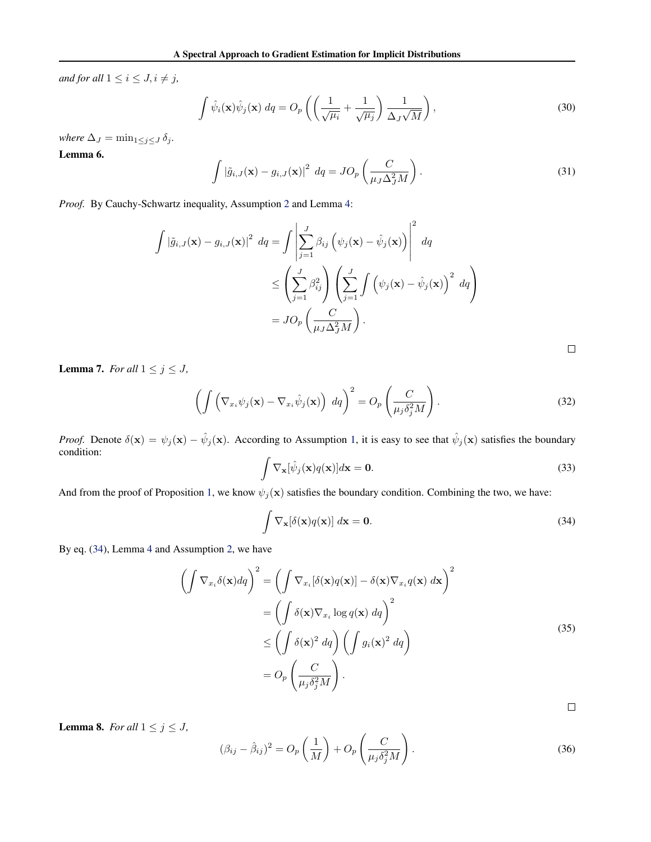<span id="page-1-0"></span>*and for all*  $1 \leq i \leq J, i \neq j$ *,* 

$$
\int \hat{\psi}_i(\mathbf{x}) \hat{\psi}_j(\mathbf{x}) \, dq = O_p\left( \left( \frac{1}{\sqrt{\mu_i}} + \frac{1}{\sqrt{\mu_j}} \right) \frac{1}{\Delta_J \sqrt{M}} \right),\tag{30}
$$

*where*  $\Delta_J = \min_{1 \leq j \leq J} \delta_j$ *.* 

Lemma 6.

$$
\int |\tilde{g}_{i,J}(\mathbf{x}) - g_{i,J}(\mathbf{x})|^2 \, dq = JO_p\left(\frac{C}{\mu_J \Delta_J^2 M}\right). \tag{31}
$$

*Proof.* By Cauchy-Schwartz inequality, Assumption [2](#page--1-0) and Lemma [4:](#page-0-0)

$$
\int |\tilde{g}_{i,J}(\mathbf{x}) - g_{i,J}(\mathbf{x})|^2 \, dq = \int \left| \sum_{j=1}^J \beta_{ij} \left( \psi_j(\mathbf{x}) - \hat{\psi}_j(\mathbf{x}) \right) \right|^2 \, dq
$$
\n
$$
\leq \left( \sum_{j=1}^J \beta_{ij}^2 \right) \left( \sum_{j=1}^J \int \left( \psi_j(\mathbf{x}) - \hat{\psi}_j(\mathbf{x}) \right)^2 \, dq \right)
$$
\n
$$
= J O_p \left( \frac{C}{\mu_J \Delta_J^2 M} \right).
$$

**Lemma 7.** *For all*  $1 \leq j \leq J$ *,* 

$$
\left(\int \left(\nabla_{x_i}\psi_j(\mathbf{x}) - \nabla_{x_i}\hat{\psi}_j(\mathbf{x})\right) \, dq\right)^2 = O_p\left(\frac{C}{\mu_j \delta_j^2 M}\right). \tag{32}
$$

*Proof.* Denote  $\delta(\mathbf{x}) = \psi_j(\mathbf{x}) - \hat{\psi}_j(\mathbf{x})$ . According to Assumption [1,](#page--1-0) it is easy to see that  $\hat{\psi}_j(\mathbf{x})$  satisfies the boundary condition: Z

$$
\int \nabla_{\mathbf{x}}[\hat{\psi}_j(\mathbf{x})q(\mathbf{x})]d\mathbf{x} = \mathbf{0}.
$$
 (33)

And from the proof of Proposition [1,](#page--1-0) we know  $\psi_j(\mathbf{x})$  satisfies the boundary condition. Combining the two, we have:

$$
\int \nabla_{\mathbf{x}}[\delta(\mathbf{x})q(\mathbf{x})] d\mathbf{x} = \mathbf{0}.
$$
 (34)

By eq. (34), Lemma [4](#page-0-0) and Assumption [2,](#page--1-0) we have

$$
\left(\int \nabla_{x_i} \delta(\mathbf{x}) dq\right)^2 = \left(\int \nabla_{x_i} [\delta(\mathbf{x}) q(\mathbf{x})] - \delta(\mathbf{x}) \nabla_{x_i} q(\mathbf{x}) d\mathbf{x}\right)^2
$$

$$
= \left(\int \delta(\mathbf{x}) \nabla_{x_i} \log q(\mathbf{x}) dq\right)^2
$$

$$
\leq \left(\int \delta(\mathbf{x})^2 dq\right) \left(\int g_i(\mathbf{x})^2 dq\right)
$$

$$
= O_p\left(\frac{C}{\mu_j \delta_j^2 M}\right).
$$
(35)

 $\Box$ 

 $\Box$ 

$$
(\beta_{ij} - \hat{\beta}_{ij})^2 = O_p\left(\frac{1}{M}\right) + O_p\left(\frac{C}{\mu_j \delta_j^2 M}\right).
$$
\n(36)

**Lemma 8.** *For all*  $1 \leq j \leq J$ *,*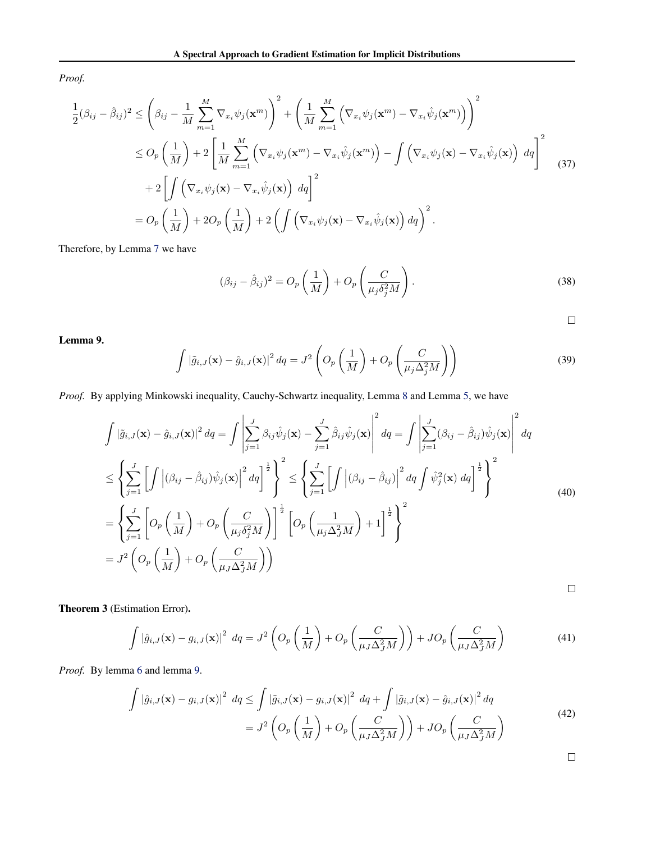<span id="page-2-0"></span>*Proof.*

$$
\frac{1}{2}(\beta_{ij} - \hat{\beta}_{ij})^2 \leq \left(\beta_{ij} - \frac{1}{M} \sum_{m=1}^M \nabla_{x_i} \psi_j(\mathbf{x}^m)\right)^2 + \left(\frac{1}{M} \sum_{m=1}^M \left(\nabla_{x_i} \psi_j(\mathbf{x}^m) - \nabla_{x_i} \hat{\psi}_j(\mathbf{x}^m)\right)\right)^2
$$
\n
$$
\leq O_p\left(\frac{1}{M}\right) + 2\left[\frac{1}{M} \sum_{m=1}^M \left(\nabla_{x_i} \psi_j(\mathbf{x}^m) - \nabla_{x_i} \hat{\psi}_j(\mathbf{x}^m)\right) - \int \left(\nabla_{x_i} \psi_j(\mathbf{x}) - \nabla_{x_i} \hat{\psi}_j(\mathbf{x})\right) dq\right]^2
$$
\n
$$
+ 2\left[\int \left(\nabla_{x_i} \psi_j(\mathbf{x}) - \nabla_{x_i} \hat{\psi}_j(\mathbf{x})\right) dq\right]^2
$$
\n
$$
= O_p\left(\frac{1}{M}\right) + 2O_p\left(\frac{1}{M}\right) + 2\left(\int \left(\nabla_{x_i} \psi_j(\mathbf{x}) - \nabla_{x_i} \hat{\psi}_j(\mathbf{x})\right) dq\right)^2.
$$
\n(37)

Therefore, by Lemma [7](#page-1-0) we have

$$
(\beta_{ij} - \hat{\beta}_{ij})^2 = O_p\left(\frac{1}{M}\right) + O_p\left(\frac{C}{\mu_j \delta_j^2 M}\right).
$$
\n(38)

 $\Box$ 

Lemma 9.

$$
\int |\tilde{g}_{i,J}(\mathbf{x}) - \hat{g}_{i,J}(\mathbf{x})|^2 dq = J^2 \left( O_p\left(\frac{1}{M}\right) + O_p\left(\frac{C}{\mu_j \Delta_j^2 M}\right) \right)
$$
(39)

*Proof.* By applying Minkowski inequality, Cauchy-Schwartz inequality, Lemma [8](#page-1-0) and Lemma [5,](#page-0-0) we have

$$
\int |\tilde{g}_{i,J}(\mathbf{x}) - \hat{g}_{i,J}(\mathbf{x})|^2 dq = \int \left| \sum_{j=1}^{J} \beta_{ij} \hat{\psi}_j(\mathbf{x}) - \sum_{j=1}^{J} \hat{\beta}_{ij} \hat{\psi}_j(\mathbf{x}) \right|^2 dq = \int \left| \sum_{j=1}^{J} (\beta_{ij} - \hat{\beta}_{ij}) \hat{\psi}_j(\mathbf{x}) \right|^2 dq
$$
  
\n
$$
\leq \left\{ \sum_{j=1}^{J} \left[ \int \left| (\beta_{ij} - \hat{\beta}_{ij}) \hat{\psi}_j(\mathbf{x}) \right|^2 dq \right]^{\frac{1}{2}} \right\}^2 \leq \left\{ \sum_{j=1}^{J} \left[ \int \left| (\beta_{ij} - \hat{\beta}_{ij}) \right|^2 dq \int \hat{\psi}_j^2(\mathbf{x}) dq \right]^{\frac{1}{2}} \right\}^2
$$
  
\n
$$
= \left\{ \sum_{j=1}^{J} \left[ O_p \left( \frac{1}{M} \right) + O_p \left( \frac{C}{\mu_j \delta_j^2 M} \right) \right]^{\frac{1}{2}} \left[ O_p \left( \frac{1}{\mu_j \Delta_j^2 M} \right) + 1 \right]^{\frac{1}{2}} \right\}^2
$$
  
\n
$$
= J^2 \left( O_p \left( \frac{1}{M} \right) + O_p \left( \frac{C}{\mu_J \Delta_j^2 M} \right) \right)
$$

Theorem 3 (Estimation Error).

$$
\int |\hat{g}_{i,J}(\mathbf{x}) - g_{i,J}(\mathbf{x})|^2 \, dq = J^2 \left( O_p \left( \frac{1}{M} \right) + O_p \left( \frac{C}{\mu_J \Delta_J^2 M} \right) \right) + JD_p \left( \frac{C}{\mu_J \Delta_J^2 M} \right) \tag{41}
$$

*Proof.* By lemma [6](#page-1-0) and lemma 9.

$$
\int |\hat{g}_{i,J}(\mathbf{x}) - g_{i,J}(\mathbf{x})|^2 \, dq \le \int |\tilde{g}_{i,J}(\mathbf{x}) - g_{i,J}(\mathbf{x})|^2 \, dq + \int |\tilde{g}_{i,J}(\mathbf{x}) - \hat{g}_{i,J}(\mathbf{x})|^2 \, dq
$$
\n
$$
= J^2 \left( O_p \left( \frac{1}{M} \right) + O_p \left( \frac{C}{\mu_J \Delta_J^2 M} \right) \right) + J O_p \left( \frac{C}{\mu_J \Delta_J^2 M} \right) \tag{42}
$$

 $\Box$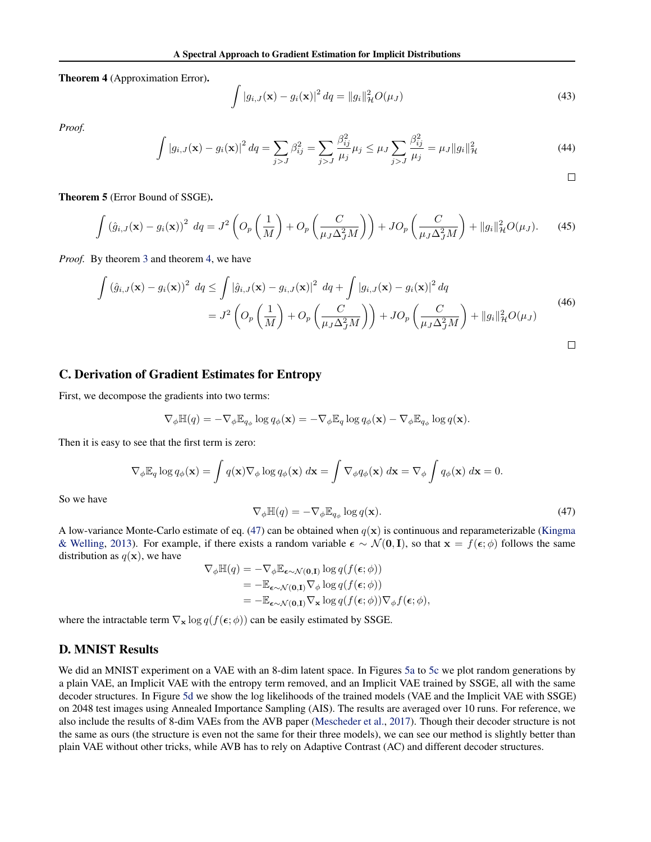Theorem 4 (Approximation Error).

$$
\int |g_{i,J}(\mathbf{x}) - g_i(\mathbf{x})|^2 dq = ||g_i||_{\mathcal{H}}^2 O(\mu_J)
$$
\n(43)

*Proof.*

$$
\int |g_{i,J}(\mathbf{x}) - g_i(\mathbf{x})|^2 \, dq = \sum_{j>J} \beta_{ij}^2 = \sum_{j>J} \frac{\beta_{ij}^2}{\mu_j} \mu_j \le \mu J \sum_{j>J} \frac{\beta_{ij}^2}{\mu_j} = \mu J \|g_i\|_{\mathcal{H}}^2 \tag{44}
$$

 $\Box$ 

Theorem 5 (Error Bound of SSGE).

$$
\int \left(\hat{g}_{i,J}(\mathbf{x}) - g_i(\mathbf{x})\right)^2 \, dq = J^2 \left( O_p\left(\frac{1}{M}\right) + O_p\left(\frac{C}{\mu_J \Delta_J^2 M}\right) \right) + J O_p\left(\frac{C}{\mu_J \Delta_J^2 M}\right) + \|g_i\|_{\mathcal{H}}^2 O(\mu_J). \tag{45}
$$

*Proof.* By theorem [3](#page-2-0) and theorem [4,](#page-2-0) we have

$$
\int \left(\hat{g}_{i,J}(\mathbf{x}) - g_i(\mathbf{x})\right)^2 \, dq \le \int \left|\hat{g}_{i,J}(\mathbf{x}) - g_{i,J}(\mathbf{x})\right|^2 \, dq + \int \left|g_{i,J}(\mathbf{x}) - g_i(\mathbf{x})\right|^2 \, dq
$$
\n
$$
= J^2 \left( O_p\left(\frac{1}{M}\right) + O_p\left(\frac{C}{\mu_J \Delta_J^2 M}\right) \right) + J O_p\left(\frac{C}{\mu_J \Delta_J^2 M}\right) + \|g_i\|_{\mathcal{H}}^2 O(\mu_J) \tag{46}
$$

## C. Derivation of Gradient Estimates for Entropy

First, we decompose the gradients into two terms:

$$
\nabla_{\phi} \mathbb{H}(q) = -\nabla_{\phi} \mathbb{E}_{q_{\phi}} \log q_{\phi}(\mathbf{x}) = -\nabla_{\phi} \mathbb{E}_{q} \log q_{\phi}(\mathbf{x}) - \nabla_{\phi} \mathbb{E}_{q_{\phi}} \log q(\mathbf{x}).
$$

Then it is easy to see that the first term is zero:

$$
\nabla_{\phi} \mathbb{E}_{q} \log q_{\phi}(\mathbf{x}) = \int q(\mathbf{x}) \nabla_{\phi} \log q_{\phi}(\mathbf{x}) d\mathbf{x} = \int \nabla_{\phi} q_{\phi}(\mathbf{x}) d\mathbf{x} = \nabla_{\phi} \int q_{\phi}(\mathbf{x}) d\mathbf{x} = 0.
$$

So we have

$$
\nabla_{\phi} \mathbb{H}(q) = -\nabla_{\phi} \mathbb{E}_{q_{\phi}} \log q(\mathbf{x}). \tag{47}
$$

A low-variance Monte-Carlo estimate of eq. (47) can be obtained when  $q(x)$  is continuous and reparameterizable [\(Kingma](#page--1-0) [& Welling,](#page--1-0) [2013\)](#page--1-0). For example, if there exists a random variable  $\epsilon \sim \mathcal{N}(0, I)$ , so that  $x = f(\epsilon; \phi)$  follows the same distribution as  $q(\mathbf{x})$ , we have

$$
\nabla_{\phi} \mathbb{H}(q) = -\nabla_{\phi} \mathbb{E}_{\epsilon \sim \mathcal{N}(\mathbf{0}, \mathbf{I})} \log q(f(\epsilon; \phi))
$$
  
= 
$$
- \mathbb{E}_{\epsilon \sim \mathcal{N}(\mathbf{0}, \mathbf{I})} \nabla_{\phi} \log q(f(\epsilon; \phi))
$$
  
= 
$$
- \mathbb{E}_{\epsilon \sim \mathcal{N}(\mathbf{0}, \mathbf{I})} \nabla_{\mathbf{x}} \log q(f(\epsilon; \phi)) \nabla_{\phi} f(\epsilon; \phi),
$$

where the intractable term  $\nabla_{\mathbf{x}} \log q(f(\epsilon; \phi))$  can be easily estimated by SSGE.

#### D. MNIST Results

We did an MNIST experiment on a VAE with an 8-dim latent space. In Figures [5a](#page-4-0) to [5c](#page-4-0) we plot random generations by a plain VAE, an Implicit VAE with the entropy term removed, and an Implicit VAE trained by SSGE, all with the same decoder structures. In Figure [5d](#page-4-0) we show the log likelihoods of the trained models (VAE and the Implicit VAE with SSGE) on 2048 test images using Annealed Importance Sampling (AIS). The results are averaged over 10 runs. For reference, we also include the results of 8-dim VAEs from the AVB paper [\(Mescheder et al.,](#page--1-0) [2017\)](#page--1-0). Though their decoder structure is not the same as ours (the structure is even not the same for their three models), we can see our method is slightly better than plain VAE without other tricks, while AVB has to rely on Adaptive Contrast (AC) and different decoder structures.